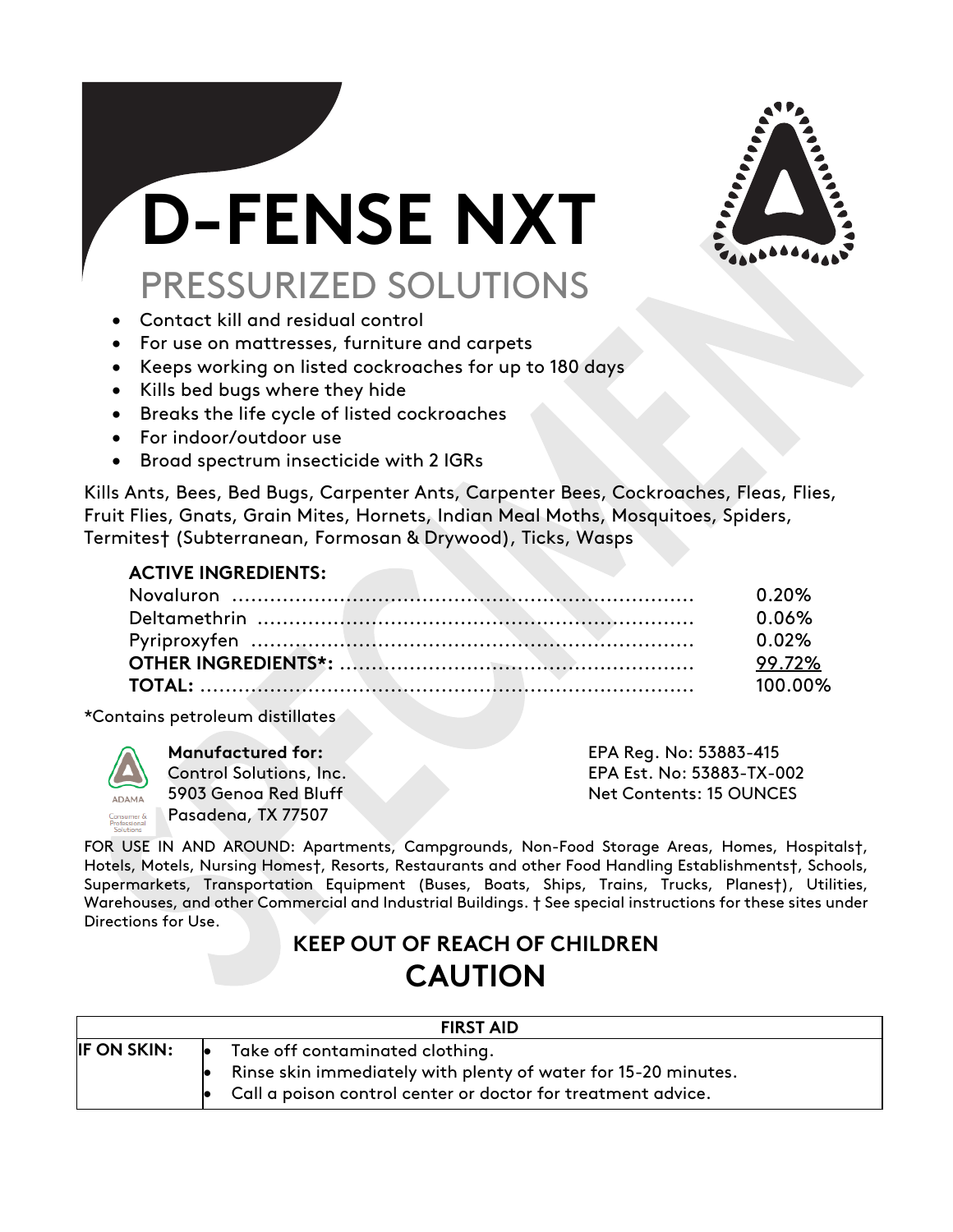

# **D-FENSE NXT** PRESSURIZED SOLUTIONS

- Contact kill and residual control
- For use on mattresses, furniture and carpets
- Keeps working on listed cockroaches for up to 180 days
- Kills bed bugs where they hide
- Breaks the life cycle of listed cockroaches
- For indoor/outdoor use
- Broad spectrum insecticide with 2 IGRs

Kills Ants, Bees, Bed Bugs, Carpenter Ants, Carpenter Bees, Cockroaches, Fleas, Flies, Fruit Flies, Gnats, Grain Mites, Hornets, Indian Meal Moths, Mosquitoes, Spiders, Termites† (Subterranean, Formosan & Drywood), Ticks, Wasps

## **ACTIVE INGREDIENTS:**

|  | . በ. 20% |
|--|----------|
|  | . 0.06%  |
|  | . በ በ2%  |
|  | 99.72%   |
|  | 100.00%  |

\*Contains petroleum distillates



Pasadena, TX 77507

**Manufactured for:** EPA Reg. No: 53883-415 Control Solutions, Inc. EPA Est. No: 53883-TX-002 5903 Genoa Red Bluff Net Contents: 15 OUNCES

FOR USE IN AND AROUND: Apartments, Campgrounds, Non-Food Storage Areas, Homes, Hospitals†, Hotels, Motels, Nursing Homes†, Resorts, Restaurants and other Food Handling Establishments†, Schools, Supermarkets, Transportation Equipment (Buses, Boats, Ships, Trains, Trucks, Planes†), Utilities, Warehouses, and other Commercial and Industrial Buildings. † See special instructions for these sites under Directions for Use.

# **KEEP OUT OF REACH OF CHILDREN CAUTION**

| <b>FIRST AID</b>   |                                                                                                                                                                          |  |
|--------------------|--------------------------------------------------------------------------------------------------------------------------------------------------------------------------|--|
| <b>IF ON SKIN:</b> | Take off contaminated clothing.<br>le.<br>Rinse skin immediately with plenty of water for 15-20 minutes.<br>Call a poison control center or doctor for treatment advice. |  |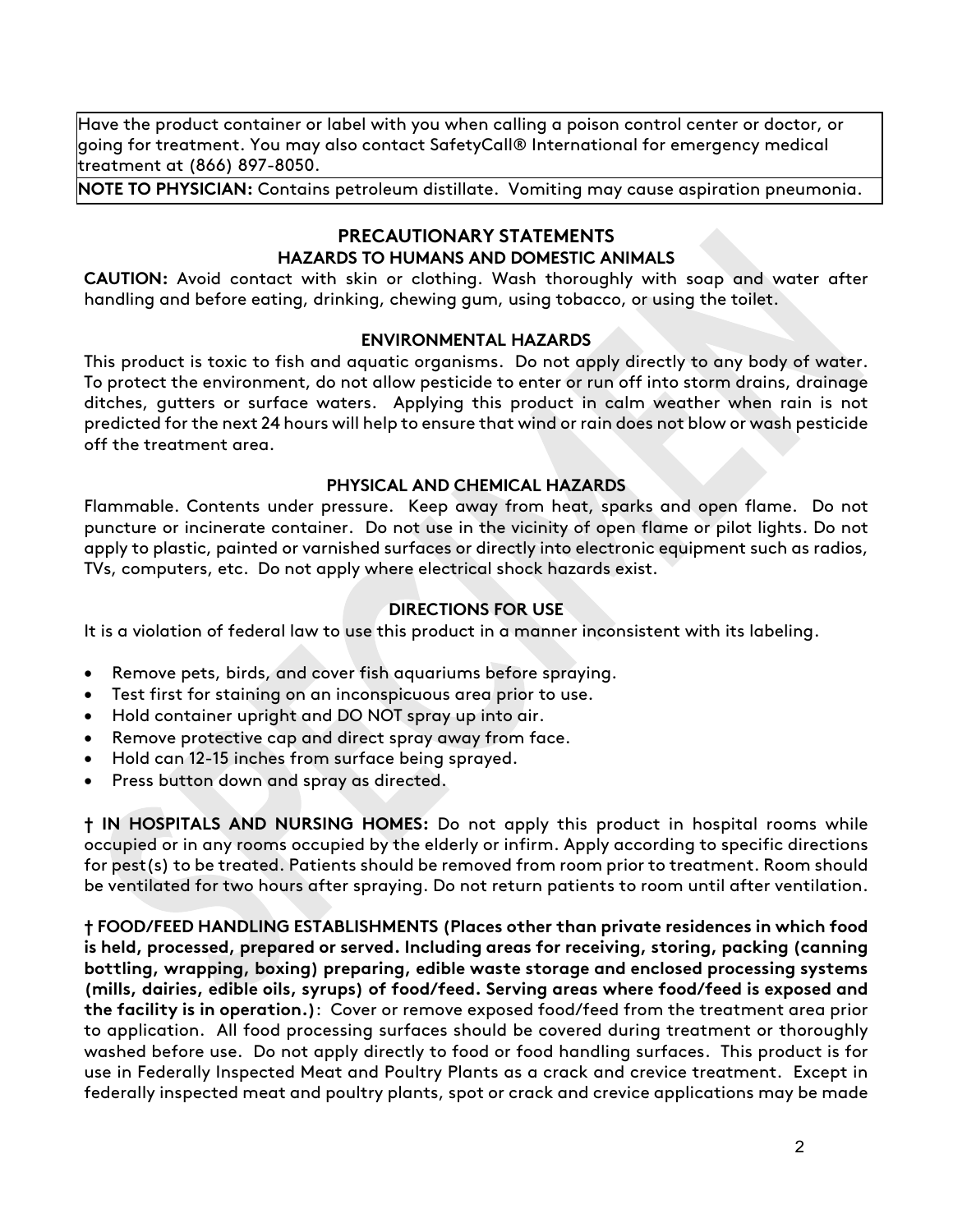Have the product container or label with you when calling a poison control center or doctor, or going for treatment. You may also contact SafetyCall® International for emergency medical treatment at (866) 897-8050.

**NOTE TO PHYSICIAN:** Contains petroleum distillate. Vomiting may cause aspiration pneumonia.

#### **PRECAUTIONARY STATEMENTS HAZARDS TO HUMANS AND DOMESTIC ANIMALS**

**CAUTION:** Avoid contact with skin or clothing. Wash thoroughly with soap and water after handling and before eating, drinking, chewing gum, using tobacco, or using the toilet.

#### **ENVIRONMENTAL HAZARDS**

This product is toxic to fish and aquatic organisms. Do not apply directly to any body of water. To protect the environment, do not allow pesticide to enter or run off into storm drains, drainage ditches, gutters or surface waters. Applying this product in calm weather when rain is not predicted for the next 24 hours will help to ensure that wind or rain does not blow or wash pesticide off the treatment area.

#### **PHYSICAL AND CHEMICAL HAZARDS**

Flammable. Contents under pressure. Keep away from heat, sparks and open flame. Do not puncture or incinerate container. Do not use in the vicinity of open flame or pilot lights. Do not apply to plastic, painted or varnished surfaces or directly into electronic equipment such as radios, TVs, computers, etc. Do not apply where electrical shock hazards exist.

### **DIRECTIONS FOR USE**

It is a violation of federal law to use this product in a manner inconsistent with its labeling.

- Remove pets, birds, and cover fish aquariums before spraying.
- Test first for staining on an inconspicuous area prior to use.
- Hold container upright and DO NOT spray up into air.
- Remove protective cap and direct spray away from face.
- Hold can 12-15 inches from surface being sprayed.
- Press button down and spray as directed.

**† IN HOSPITALS AND NURSING HOMES:** Do not apply this product in hospital rooms while occupied or in any rooms occupied by the elderly or infirm. Apply according to specific directions for pest(s) to be treated. Patients should be removed from room prior to treatment. Room should be ventilated for two hours after spraying. Do not return patients to room until after ventilation.

**† FOOD/FEED HANDLING ESTABLISHMENTS (Places other than private residences in which food is held, processed, prepared or served. Including areas for receiving, storing, packing (canning bottling, wrapping, boxing) preparing, edible waste storage and enclosed processing systems (mills, dairies, edible oils, syrups) of food/feed. Serving areas where food/feed is exposed and the facility is in operation.)**: Cover or remove exposed food/feed from the treatment area prior to application. All food processing surfaces should be covered during treatment or thoroughly washed before use. Do not apply directly to food or food handling surfaces. This product is for use in Federally Inspected Meat and Poultry Plants as a crack and crevice treatment. Except in federally inspected meat and poultry plants, spot or crack and crevice applications may be made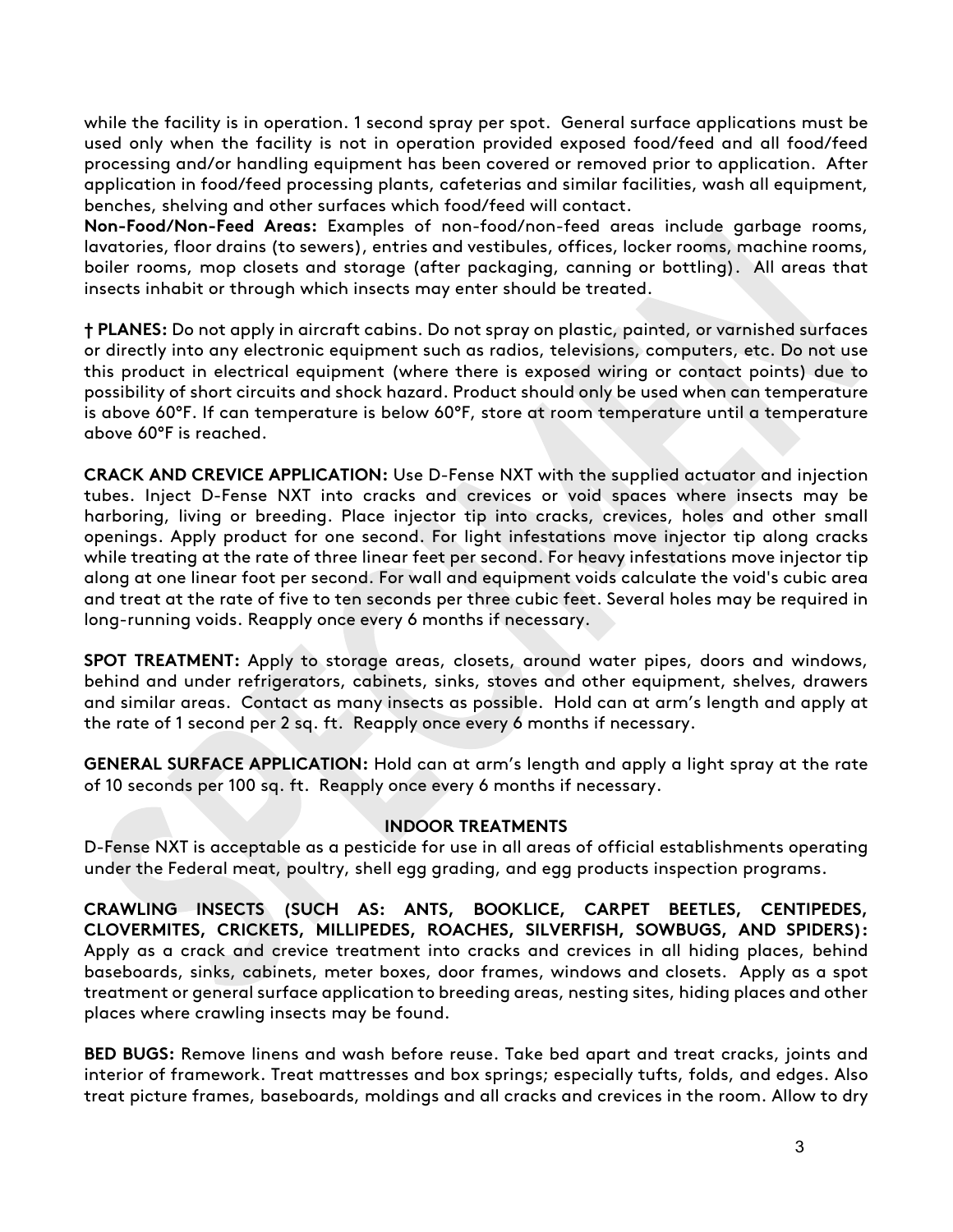while the facility is in operation. 1 second spray per spot. General surface applications must be used only when the facility is not in operation provided exposed food/feed and all food/feed processing and/or handling equipment has been covered or removed prior to application. After application in food/feed processing plants, cafeterias and similar facilities, wash all equipment, benches, shelving and other surfaces which food/feed will contact.

**Non-Food/Non-Feed Areas:** Examples of non-food/non-feed areas include garbage rooms, lavatories, floor drains (to sewers), entries and vestibules, offices, locker rooms, machine rooms, boiler rooms, mop closets and storage (after packaging, canning or bottling). All areas that insects inhabit or through which insects may enter should be treated.

**† PLANES:** Do not apply in aircraft cabins. Do not spray on plastic, painted, or varnished surfaces or directly into any electronic equipment such as radios, televisions, computers, etc. Do not use this product in electrical equipment (where there is exposed wiring or contact points) due to possibility of short circuits and shock hazard. Product should only be used when can temperature is above 60°F. If can temperature is below 60°F, store at room temperature until a temperature above 60°F is reached.

**CRACK AND CREVICE APPLICATION:** Use D-Fense NXT with the supplied actuator and injection tubes. Inject D-Fense NXT into cracks and crevices or void spaces where insects may be harboring, living or breeding. Place injector tip into cracks, crevices, holes and other small openings. Apply product for one second. For light infestations move injector tip along cracks while treating at the rate of three linear feet per second. For heavy infestations move injector tip along at one linear foot per second. For wall and equipment voids calculate the void's cubic area and treat at the rate of five to ten seconds per three cubic feet. Several holes may be required in long-running voids. Reapply once every 6 months if necessary.

**SPOT TREATMENT:** Apply to storage areas, closets, around water pipes, doors and windows, behind and under refrigerators, cabinets, sinks, stoves and other equipment, shelves, drawers and similar areas. Contact as many insects as possible. Hold can at arm's length and apply at the rate of 1 second per 2 sq. ft. Reapply once every 6 months if necessary.

**GENERAL SURFACE APPLICATION:** Hold can at arm's length and apply a light spray at the rate of 10 seconds per 100 sq. ft. Reapply once every 6 months if necessary.

#### **INDOOR TREATMENTS**

D-Fense NXT is acceptable as a pesticide for use in all areas of official establishments operating under the Federal meat, poultry, shell egg grading, and egg products inspection programs.

**CRAWLING INSECTS (SUCH AS: ANTS, BOOKLICE, CARPET BEETLES, CENTIPEDES, CLOVERMITES, CRICKETS, MILLIPEDES, ROACHES, SILVERFISH, SOWBUGS, AND SPIDERS):** Apply as a crack and crevice treatment into cracks and crevices in all hiding places, behind baseboards, sinks, cabinets, meter boxes, door frames, windows and closets. Apply as a spot treatment or general surface application to breeding areas, nesting sites, hiding places and other places where crawling insects may be found.

**BED BUGS:** Remove linens and wash before reuse. Take bed apart and treat cracks, joints and interior of framework. Treat mattresses and box springs; especially tufts, folds, and edges. Also treat picture frames, baseboards, moldings and all cracks and crevices in the room. Allow to dry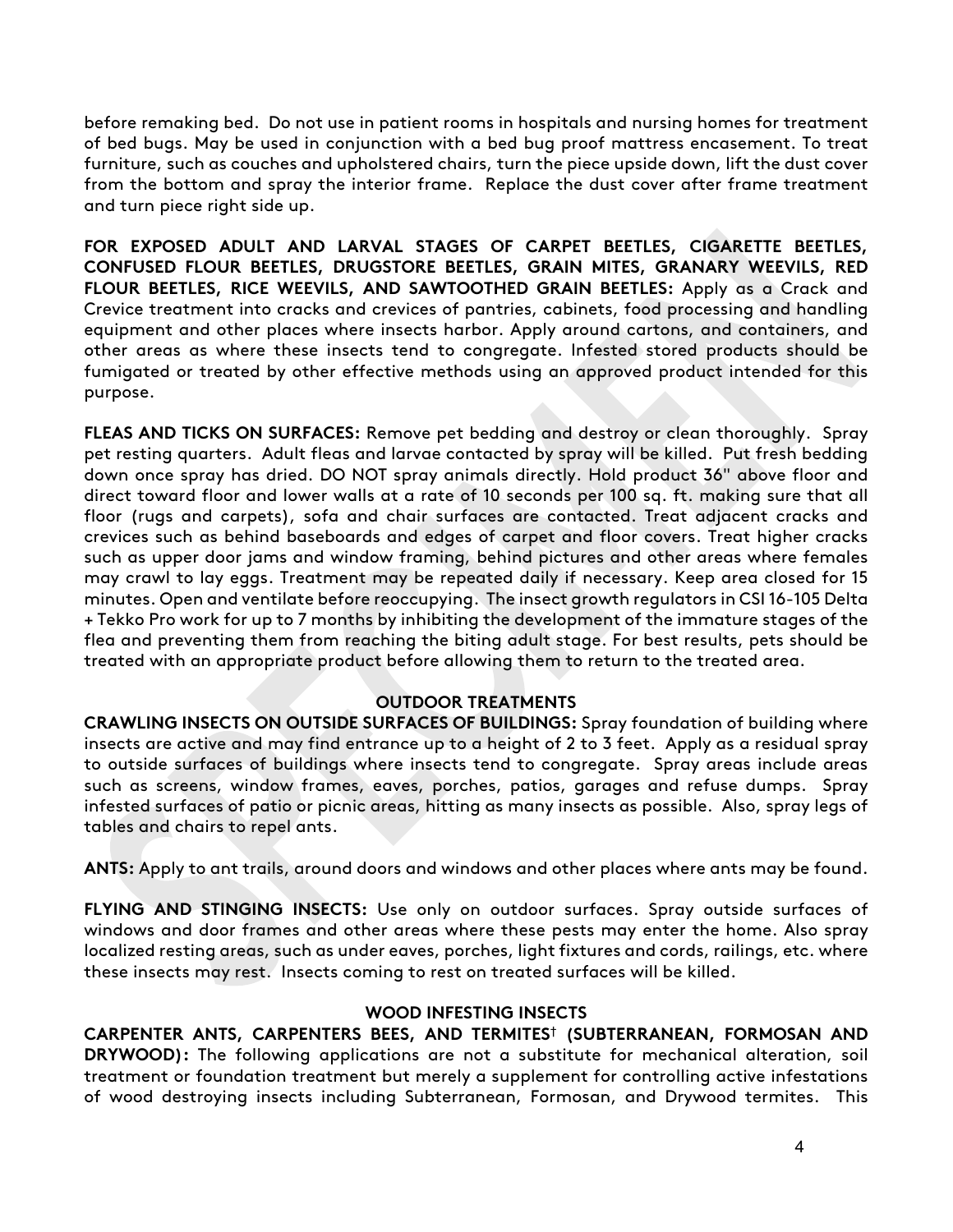before remaking bed. Do not use in patient rooms in hospitals and nursing homes for treatment of bed bugs. May be used in conjunction with a bed bug proof mattress encasement. To treat furniture, such as couches and upholstered chairs, turn the piece upside down, lift the dust cover from the bottom and spray the interior frame. Replace the dust cover after frame treatment and turn piece right side up.

**FOR EXPOSED ADULT AND LARVAL STAGES OF CARPET BEETLES, CIGARETTE BEETLES, CONFUSED FLOUR BEETLES, DRUGSTORE BEETLES, GRAIN MITES, GRANARY WEEVILS, RED FLOUR BEETLES, RICE WEEVILS, AND SAWTOOTHED GRAIN BEETLES:** Apply as a Crack and Crevice treatment into cracks and crevices of pantries, cabinets, food processing and handling equipment and other places where insects harbor. Apply around cartons, and containers, and other areas as where these insects tend to congregate. Infested stored products should be fumigated or treated by other effective methods using an approved product intended for this purpose.

**FLEAS AND TICKS ON SURFACES:** Remove pet bedding and destroy or clean thoroughly. Spray pet resting quarters. Adult fleas and larvae contacted by spray will be killed. Put fresh bedding down once spray has dried. DO NOT spray animals directly. Hold product 36" above floor and direct toward floor and lower walls at a rate of 10 seconds per 100 sq. ft. making sure that all floor (rugs and carpets), sofa and chair surfaces are contacted. Treat adjacent cracks and crevices such as behind baseboards and edges of carpet and floor covers. Treat higher cracks such as upper door jams and window framing, behind pictures and other areas where females may crawl to lay eggs. Treatment may be repeated daily if necessary. Keep area closed for 15 minutes. Open and ventilate before reoccupying. The insect growth regulators in CSI 16-105 Delta + Tekko Pro work for up to 7 months by inhibiting the development of the immature stages of the flea and preventing them from reaching the biting adult stage. For best results, pets should be treated with an appropriate product before allowing them to return to the treated area.

#### **OUTDOOR TREATMENTS**

**CRAWLING INSECTS ON OUTSIDE SURFACES OF BUILDINGS:** Spray foundation of building where insects are active and may find entrance up to a height of 2 to 3 feet. Apply as a residual spray to outside surfaces of buildings where insects tend to congregate. Spray areas include areas such as screens, window frames, eaves, porches, patios, garages and refuse dumps. Spray infested surfaces of patio or picnic areas, hitting as many insects as possible. Also, spray legs of tables and chairs to repel ants.

**ANTS:** Apply to ant trails, around doors and windows and other places where ants may be found.

**FLYING AND STINGING INSECTS:** Use only on outdoor surfaces. Spray outside surfaces of windows and door frames and other areas where these pests may enter the home. Also spray localized resting areas, such as under eaves, porches, light fixtures and cords, railings, etc. where these insects may rest. Insects coming to rest on treated surfaces will be killed.

#### **WOOD INFESTING INSECTS**

**CARPENTER ANTS, CARPENTERS BEES, AND TERMITES**† **(SUBTERRANEAN, FORMOSAN AND DRYWOOD):** The following applications are not a substitute for mechanical alteration, soil treatment or foundation treatment but merely a supplement for controlling active infestations of wood destroying insects including Subterranean, Formosan, and Drywood termites. This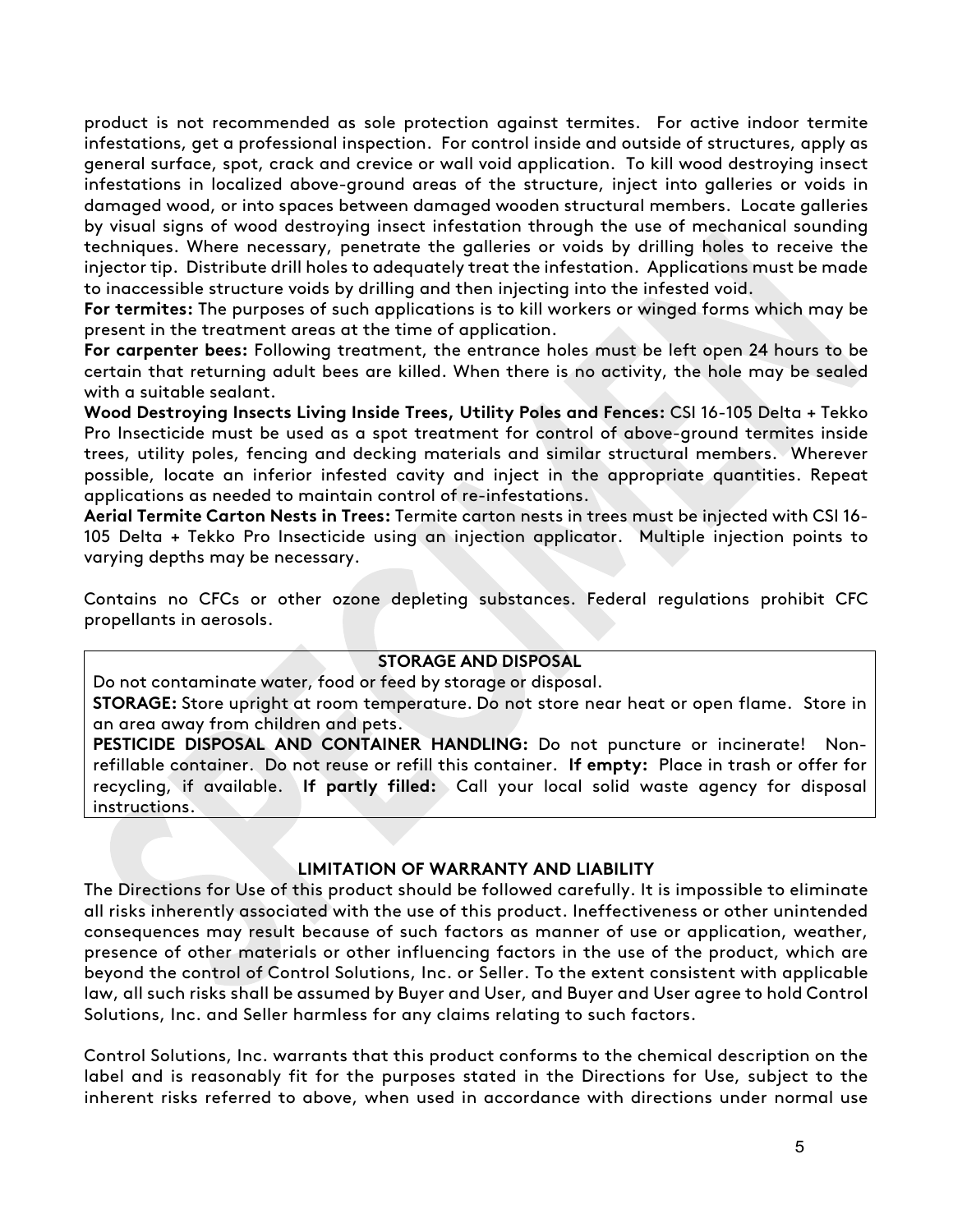product is not recommended as sole protection against termites. For active indoor termite infestations, get a professional inspection. For control inside and outside of structures, apply as general surface, spot, crack and crevice or wall void application. To kill wood destroying insect infestations in localized above-ground areas of the structure, inject into galleries or voids in damaged wood, or into spaces between damaged wooden structural members. Locate galleries by visual signs of wood destroying insect infestation through the use of mechanical sounding techniques. Where necessary, penetrate the galleries or voids by drilling holes to receive the injector tip. Distribute drill holes to adequately treat the infestation. Applications must be made to inaccessible structure voids by drilling and then injecting into the infested void.

**For termites:** The purposes of such applications is to kill workers or winged forms which may be present in the treatment areas at the time of application.

**For carpenter bees:** Following treatment, the entrance holes must be left open 24 hours to be certain that returning adult bees are killed. When there is no activity, the hole may be sealed with a suitable sealant.

**Wood Destroying Insects Living Inside Trees, Utility Poles and Fences:** CSI 16-105 Delta + Tekko Pro Insecticide must be used as a spot treatment for control of above-ground termites inside trees, utility poles, fencing and decking materials and similar structural members. Wherever possible, locate an inferior infested cavity and inject in the appropriate quantities. Repeat applications as needed to maintain control of re-infestations.

**Aerial Termite Carton Nests in Trees:** Termite carton nests in trees must be injected with CSI 16- 105 Delta + Tekko Pro Insecticide using an injection applicator. Multiple injection points to varying depths may be necessary.

Contains no CFCs or other ozone depleting substances. Federal regulations prohibit CFC propellants in aerosols.

#### **STORAGE AND DISPOSAL**

Do not contaminate water, food or feed by storage or disposal. **STORAGE:** Store upright at room temperature. Do not store near heat or open flame. Store in an area away from children and pets.

**PESTICIDE DISPOSAL AND CONTAINER HANDLING:** Do not puncture or incinerate! Nonrefillable container. Do not reuse or refill this container. **If empty:** Place in trash or offer for recycling, if available. **If partly filled:** Call your local solid waste agency for disposal instructions.

#### **LIMITATION OF WARRANTY AND LIABILITY**

The Directions for Use of this product should be followed carefully. It is impossible to eliminate all risks inherently associated with the use of this product. Ineffectiveness or other unintended consequences may result because of such factors as manner of use or application, weather, presence of other materials or other influencing factors in the use of the product, which are beyond the control of Control Solutions, Inc. or Seller. To the extent consistent with applicable law, all such risks shall be assumed by Buyer and User, and Buyer and User agree to hold Control Solutions, Inc. and Seller harmless for any claims relating to such factors.

Control Solutions, Inc. warrants that this product conforms to the chemical description on the label and is reasonably fit for the purposes stated in the Directions for Use, subject to the inherent risks referred to above, when used in accordance with directions under normal use